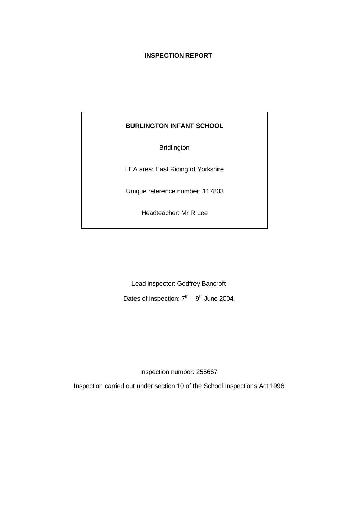## **INSPECTION REPORT**

## **BURLINGTON INFANT SCHOOL**

Bridlington

LEA area: East Riding of Yorkshire

Unique reference number: 117833

Headteacher: Mr R Lee

Lead inspector: Godfrey Bancroft

Dates of inspection:  $7<sup>th</sup> - 9<sup>th</sup>$  June 2004

Inspection number: 255667

Inspection carried out under section 10 of the School Inspections Act 1996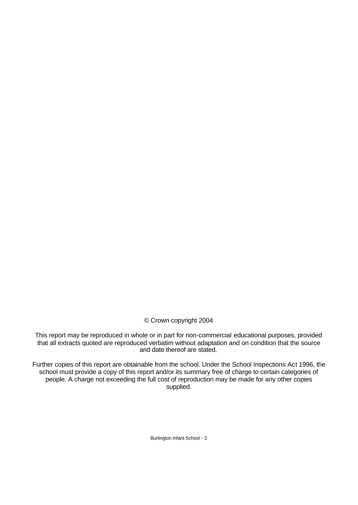© Crown copyright 2004

This report may be reproduced in whole or in part for non-commercial educational purposes, provided that all extracts quoted are reproduced verbatim without adaptation and on condition that the source and date thereof are stated.

Further copies of this report are obtainable from the school. Under the School Inspections Act 1996, the school must provide a copy of this report and/or its summary free of charge to certain categories of people. A charge not exceeding the full cost of reproduction may be made for any other copies supplied.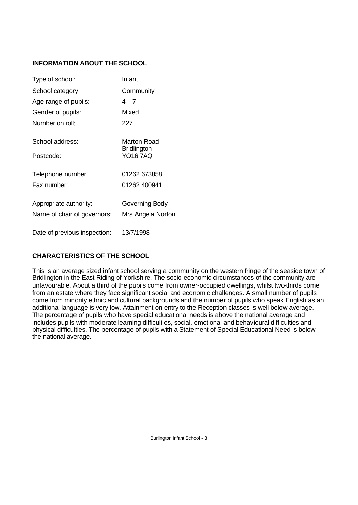# **INFORMATION ABOUT THE SCHOOL**

| Type of school:              | Infant                                               |
|------------------------------|------------------------------------------------------|
| School category:             | Community                                            |
| Age range of pupils:         | $4 - 7$                                              |
| Gender of pupils:            | Mixed                                                |
| Number on roll;              | 227                                                  |
| School address:<br>Postcode: | Marton Road<br><b>Bridlington</b><br><b>YO16 7AQ</b> |
| Telephone number:            | 01262 673858                                         |
| Fax number:                  | 01262 400941                                         |
| Appropriate authority:       | Governing Body                                       |
| Name of chair of governors:  | Mrs Angela Norton                                    |
| Date of previous inspection: | 13/7/1998                                            |

# **CHARACTERISTICS OF THE SCHOOL**

This is an average sized infant school serving a community on the western fringe of the seaside town of Bridlington in the East Riding of Yorkshire. The socio-economic circumstances of the community are unfavourable. About a third of the pupils come from owner-occupied dwellings, whilst two-thirds come from an estate where they face significant social and economic challenges. A small number of pupils come from minority ethnic and cultural backgrounds and the number of pupils who speak English as an additional language is very low. Attainment on entry to the Reception classes is well below average. The percentage of pupils who have special educational needs is above the national average and includes pupils with moderate learning difficulties, social, emotional and behavioural difficulties and physical difficulties. The percentage of pupils with a Statement of Special Educational Need is below the national average.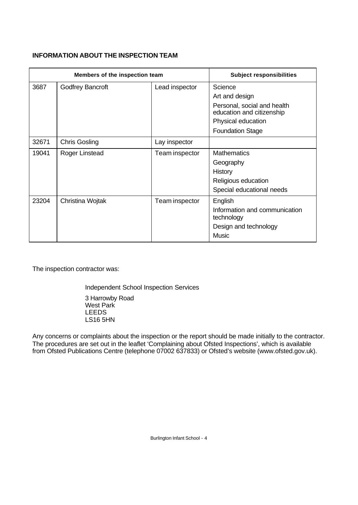## **INFORMATION ABOUT THE INSPECTION TEAM**

| Members of the inspection team |                         | <b>Subject responsibilities</b> |                                                                                                                                        |
|--------------------------------|-------------------------|---------------------------------|----------------------------------------------------------------------------------------------------------------------------------------|
| 3687                           | <b>Godfrey Bancroft</b> | Lead inspector                  | Science<br>Art and design<br>Personal, social and health<br>education and citizenship<br>Physical education<br><b>Foundation Stage</b> |
| 32671                          | <b>Chris Gosling</b>    | Lay inspector                   |                                                                                                                                        |
| 19041                          | Roger Linstead          | Team inspector                  | <b>Mathematics</b><br>Geography<br>History<br>Religious education<br>Special educational needs                                         |
| 23204                          | Christina Wojtak        | Team inspector                  | English<br>Information and communication<br>technology<br>Design and technology<br>Music                                               |

The inspection contractor was:

Independent School Inspection Services

3 Harrowby Road West Park LEEDS LS16 5HN

Any concerns or complaints about the inspection or the report should be made initially to the contractor. The procedures are set out in the leaflet 'Complaining about Ofsted Inspections', which is available from Ofsted Publications Centre (telephone 07002 637833) or Ofsted's website (www.ofsted.gov.uk).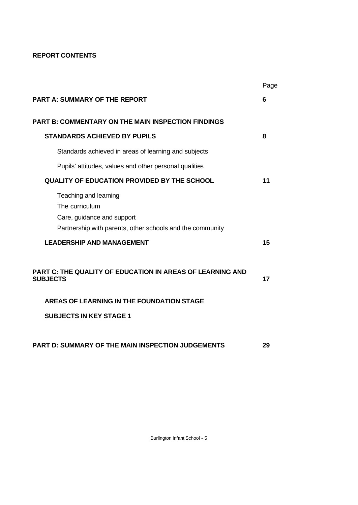# **REPORT CONTENTS**

|                                                                                                                                    | Page |
|------------------------------------------------------------------------------------------------------------------------------------|------|
| <b>PART A: SUMMARY OF THE REPORT</b>                                                                                               | 6    |
| <b>PART B: COMMENTARY ON THE MAIN INSPECTION FINDINGS</b>                                                                          |      |
| <b>STANDARDS ACHIEVED BY PUPILS</b>                                                                                                | 8    |
| Standards achieved in areas of learning and subjects                                                                               |      |
| Pupils' attitudes, values and other personal qualities                                                                             |      |
| <b>QUALITY OF EDUCATION PROVIDED BY THE SCHOOL</b>                                                                                 | 11   |
| Teaching and learning<br>The curriculum<br>Care, guidance and support<br>Partnership with parents, other schools and the community |      |
| <b>LEADERSHIP AND MANAGEMENT</b>                                                                                                   | 15   |
| <b>PART C: THE QUALITY OF EDUCATION IN AREAS OF LEARNING AND</b><br><b>SUBJECTS</b>                                                | 17   |
| AREAS OF LEARNING IN THE FOUNDATION STAGE                                                                                          |      |
| <b>SUBJECTS IN KEY STAGE 1</b>                                                                                                     |      |
| <b>PART D: SUMMARY OF THE MAIN INSPECTION JUDGEMENTS</b>                                                                           | 29   |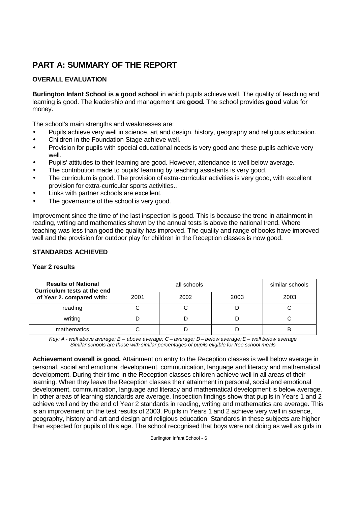# **PART A: SUMMARY OF THE REPORT**

# **OVERALL EVALUATION**

**Burlington Infant School is a good school** in which pupils achieve well. The quality of teaching and learning is good. The leadership and management are **good**. The school provides **good** value for money.

The school's main strengths and weaknesses are:

- Pupils achieve very well in science, art and design, history, geography and religious education.
- Children in the Foundation Stage achieve well.
- Provision for pupils with special educational needs is very good and these pupils achieve very well.
- Pupils' attitudes to their learning are good. However, attendance is well below average.
- The contribution made to pupils' learning by teaching assistants is very good.
- The curriculum is good. The provision of extra-curricular activities is very good, with excellent provision for extra-curricular sports activities..
- Links with partner schools are excellent.
- The governance of the school is very good.

Improvement since the time of the last inspection is good. This is because the trend in attainment in reading, writing and mathematics shown by the annual tests is above the national trend. Where teaching was less than good the quality has improved. The quality and range of books have improved well and the provision for outdoor play for children in the Reception classes is now good.

### **STANDARDS ACHIEVED**

#### **Year 2 results**

| <b>Results of National</b><br>Curriculum tests at the end |      | similar schools |      |      |
|-----------------------------------------------------------|------|-----------------|------|------|
| of Year 2. compared with:                                 | 2001 | 2002            | 2003 | 2003 |
| reading                                                   |      |                 |      |      |
| writing                                                   |      |                 |      |      |
| mathematics                                               |      |                 |      |      |

*Key: A - well above average; B – above average; C – average; D – below average; E – well below average Similar schools are those with similar percentages of pupils eligible for free school meals*

**Achievement overall is good.** Attainment on entry to the Reception classes is well below average in personal, social and emotional development, communication, language and literacy and mathematical development. During their time in the Reception classes children achieve well in all areas of their learning. When they leave the Reception classes their attainment in personal, social and emotional development, communication, language and literacy and mathematical development is below average. In other areas of learning standards are average. Inspection findings show that pupils in Years 1 and 2 achieve well and by the end of Year 2 standards in reading, writing and mathematics are average. This is an improvement on the test results of 2003. Pupils in Years 1 and 2 achieve very well in science, geography, history and art and design and religious education. Standards in these subjects are higher than expected for pupils of this age. The school recognised that boys were not doing as well as girls in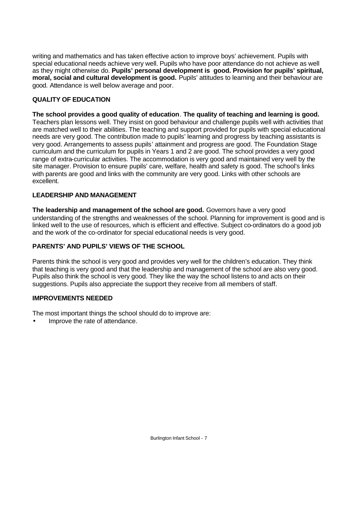writing and mathematics and has taken effective action to improve boys' achievement. Pupils with special educational needs achieve very well. Pupils who have poor attendance do not achieve as well as they might otherwise do. **Pupils' personal development is good. Provision for pupils' spiritual, moral, social and cultural development is good.** Pupils' attitudes to learning and their behaviour are good. Attendance is well below average and poor.

## **QUALITY OF EDUCATION**

**The school provides a good quality of education**. **The quality of teaching and learning is good.** Teachers plan lessons well. They insist on good behaviour and challenge pupils well with activities that are matched well to their abilities. The teaching and support provided for pupils with special educational needs are very good. The contribution made to pupils' learning and progress by teaching assistants is very good. Arrangements to assess pupils' attainment and progress are good. The Foundation Stage curriculum and the curriculum for pupils in Years 1 and 2 are good. The school provides a very good range of extra-curricular activities. The accommodation is very good and maintained very well by the site manager. Provision to ensure pupils' care, welfare, health and safety is good. The school's links with parents are good and links with the community are very good. Links with other schools are excellent.

#### **LEADERSHIP AND MANAGEMENT**

**The leadership and management of the school are good.** Governors have a very good understanding of the strengths and weaknesses of the school. Planning for improvement is good and is linked well to the use of resources, which is efficient and effective. Subject co-ordinators do a good job and the work of the co-ordinator for special educational needs is very good.

## **PARENTS' AND PUPILS' VIEWS OF THE SCHOOL**

Parents think the school is very good and provides very well for the children's education. They think that teaching is very good and that the leadership and management of the school are also very good. Pupils also think the school is very good. They like the way the school listens to and acts on their suggestions. Pupils also appreciate the support they receive from all members of staff.

#### **IMPROVEMENTS NEEDED**

The most important things the school should do to improve are:

• Improve the rate of attendance.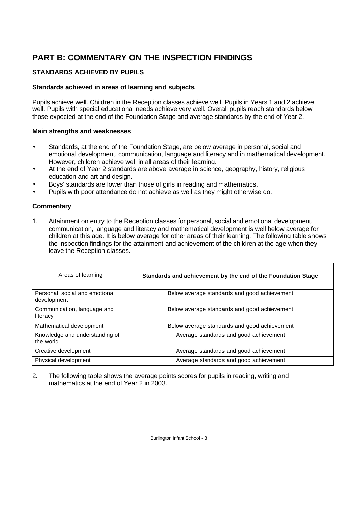# **PART B: COMMENTARY ON THE INSPECTION FINDINGS**

# **STANDARDS ACHIEVED BY PUPILS**

# **Standards achieved in areas of learning and subjects**

Pupils achieve well. Children in the Reception classes achieve well. Pupils in Years 1 and 2 achieve well. Pupils with special educational needs achieve very well. Overall pupils reach standards below those expected at the end of the Foundation Stage and average standards by the end of Year 2.

## **Main strengths and weaknesses**

- Standards, at the end of the Foundation Stage, are below average in personal, social and emotional development, communication, language and literacy and in mathematical development. However, children achieve well in all areas of their learning.
- At the end of Year 2 standards are above average in science, geography, history, religious education and art and design.
- Boys' standards are lower than those of girls in reading and mathematics.
- Pupils with poor attendance do not achieve as well as they might otherwise do.

# **Commentary**

1. Attainment on entry to the Reception classes for personal, social and emotional development, communication, language and literacy and mathematical development is well below average for children at this age. It is below average for other areas of their learning. The following table shows the inspection findings for the attainment and achievement of the children at the age when they leave the Reception classes.

| Areas of learning                             | Standards and achievement by the end of the Foundation Stage |
|-----------------------------------------------|--------------------------------------------------------------|
| Personal, social and emotional<br>development | Below average standards and good achievement                 |
| Communication, language and<br>literacy       | Below average standards and good achievement                 |
| Mathematical development                      | Below average standards and good achievement                 |
| Knowledge and understanding of<br>the world   | Average standards and good achievement                       |
| Creative development                          | Average standards and good achievement                       |
| Physical development                          | Average standards and good achievement                       |

2. The following table shows the average points scores for pupils in reading, writing and mathematics at the end of Year 2 in 2003.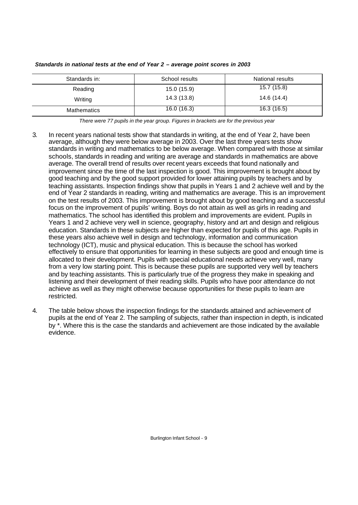| Standards in: | School results | National results |
|---------------|----------------|------------------|
| Reading       | 15.0(15.9)     | 15.7(15.8)       |
| Writing       | 14.3 (13.8)    | 14.6 (14.4)      |
| Mathematics   | 16.0(16.3)     | 16.3(16.5)       |

*Standards in national tests at the end of Year 2 – average point scores in 2003*

*There were 77 pupils in the year group. Figures in brackets are for the previous year* 

- 3. In recent years national tests show that standards in writing, at the end of Year 2, have been average, although they were below average in 2003. Over the last three years tests show standards in writing and mathematics to be below average. When compared with those at similar schools, standards in reading and writing are average and standards in mathematics are above average. The overall trend of results over recent years exceeds that found nationally and improvement since the time of the last inspection is good. This improvement is brought about by good teaching and by the good support provided for lower attaining pupils by teachers and by teaching assistants. Inspection findings show that pupils in Years 1 and 2 achieve well and by the end of Year 2 standards in reading, writing and mathematics are average. This is an improvement on the test results of 2003. This improvement is brought about by good teaching and a successful focus on the improvement of pupils' writing. Boys do not attain as well as girls in reading and mathematics. The school has identified this problem and improvements are evident. Pupils in Years 1 and 2 achieve very well in science, geography, history and art and design and religious education. Standards in these subjects are higher than expected for pupils of this age. Pupils in these years also achieve well in design and technology, information and communication technology (ICT), music and physical education. This is because the school has worked effectively to ensure that opportunities for learning in these subjects are good and enough time is allocated to their development. Pupils with special educational needs achieve very well, many from a very low starting point. This is because these pupils are supported very well by teachers and by teaching assistants. This is particularly true of the progress they make in speaking and listening and their development of their reading skills. Pupils who have poor attendance do not achieve as well as they might otherwise because opportunities for these pupils to learn are restricted.
- 4. The table below shows the inspection findings for the standards attained and achievement of pupils at the end of Year 2. The sampling of subjects, rather than inspection in depth, is indicated by \*. Where this is the case the standards and achievement are those indicated by the available evidence.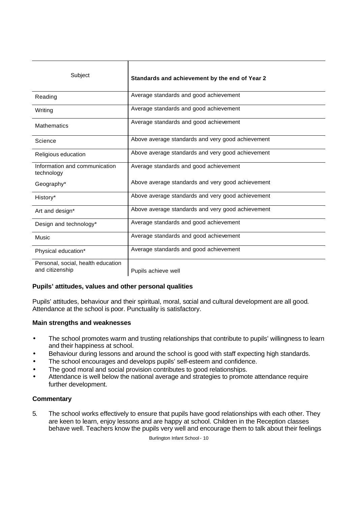| Subject                                               | Standards and achievement by the end of Year 2    |
|-------------------------------------------------------|---------------------------------------------------|
| Reading                                               | Average standards and good achievement            |
| Writing                                               | Average standards and good achievement            |
| <b>Mathematics</b>                                    | Average standards and good achievement            |
| Science                                               | Above average standards and very good achievement |
| Religious education                                   | Above average standards and very good achievement |
| Information and communication<br>technology           | Average standards and good achievement            |
| Geography*                                            | Above average standards and very good achievement |
| History*                                              | Above average standards and very good achievement |
| Art and design*                                       | Above average standards and very good achievement |
| Design and technology*                                | Average standards and good achievement            |
| Music                                                 | Average standards and good achievement            |
| Physical education*                                   | Average standards and good achievement            |
| Personal, social, health education<br>and citizenship | Pupils achieve well                               |

#### **Pupils' attitudes, values and other personal qualities**

Pupils' attitudes, behaviour and their spiritual, moral, social and cultural development are all good. Attendance at the school is poor. Punctuality is satisfactory.

#### **Main strengths and weaknesses**

- The school promotes warm and trusting relationships that contribute to pupils' willingness to learn and their happiness at school.
- Behaviour during lessons and around the school is good with staff expecting high standards.
- The school encourages and develops pupils' self-esteem and confidence.
- The good moral and social provision contributes to good relationships.
- Attendance is well below the national average and strategies to promote attendance require further development.

#### **Commentary**

5. The school works effectively to ensure that pupils have good relationships with each other. They are keen to learn, enjoy lessons and are happy at school. Children in the Reception classes behave well. Teachers know the pupils very well and encourage them to talk about their feelings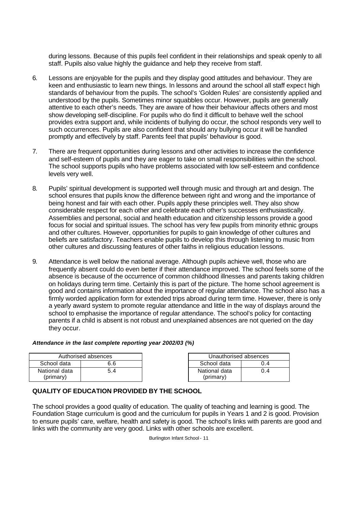during lessons. Because of this pupils feel confident in their relationships and speak openly to all staff. Pupils also value highly the guidance and help they receive from staff.

- 6. Lessons are enjoyable for the pupils and they display good attitudes and behaviour. They are keen and enthusiastic to learn new things. In lessons and around the school all staff expect high standards of behaviour from the pupils. The school's 'Golden Rules' are consistently applied and understood by the pupils. Sometimes minor squabbles occur. However, pupils are generally attentive to each other's needs. They are aware of how their behaviour affects others and most show developing self-discipline. For pupils who do find it difficult to behave well the school provides extra support and, while incidents of bullying do occur, the school responds very well to such occurrences. Pupils are also confident that should any bullying occur it will be handled promptly and effectively by staff. Parents feel that pupils' behaviour is good.
- 7. There are frequent opportunities during lessons and other activities to increase the confidence and self-esteem of pupils and they are eager to take on small responsibilities within the school. The school supports pupils who have problems associated with low self-esteem and confidence levels very well.
- 8. Pupils' spiritual development is supported well through music and through art and design. The school ensures that pupils know the difference between right and wrong and the importance of being honest and fair with each other. Pupils apply these principles well. They also show considerable respect for each other and celebrate each other's successes enthusiastically. Assemblies and personal, social and health education and citizenship lessons provide a good focus for social and spiritual issues. The school has very few pupils from minority ethnic groups and other cultures. However, opportunities for pupils to gain knowledge of other cultures and beliefs are satisfactory. Teachers enable pupils to develop this through listening to music from other cultures and discussing features of other faiths in religious education lessons.
- 9. Attendance is well below the national average. Although pupils achieve well, those who are frequently absent could do even better if their attendance improved. The school feels some of the absence is because of the occurrence of common childhood illnesses and parents taking children on holidays during term time. Certainly this is part of the picture. The home school agreement is good and contains information about the importance of regular attendance. The school also has a firmly worded application form for extended trips abroad during term time. However, there is only a yearly award system to promote regular attendance and little in the way of displays around the school to emphasise the importance of regular attendance. The school's policy for contacting parents if a child is absent is not robust and unexplained absences are not queried on the day they occur.

#### *Attendance in the last complete reporting year 2002/03 (%)*

|               | Authorised absences |               | Unauthorised absences |
|---------------|---------------------|---------------|-----------------------|
| School data   | 6.6                 | School data   | 0.4                   |
| National data | 5.4                 | National data | 0.4                   |
| (primary)     |                     | (primary)     |                       |

| эS  | Unauthorised absences      |     |  |
|-----|----------------------------|-----|--|
| 6.6 | School data                | O 4 |  |
| 5.4 | National data<br>(primary) | 0.4 |  |

# **QUALITY OF EDUCATION PROVIDED BY THE SCHOOL**

The school provides a good quality of education. The quality of teaching and learning is good. The Foundation Stage curriculum is good and the curriculum for pupils in Years 1 and 2 is good. Provision to ensure pupils' care, welfare, health and safety is good. The school's links with parents are good and links with the community are very good. Links with other schools are excellent.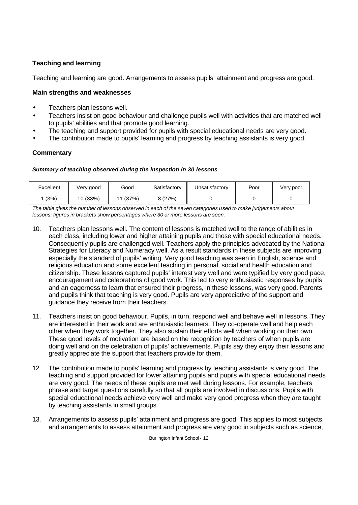# **Teaching and learning**

Teaching and learning are good. Arrangements to assess pupils' attainment and progress are good.

### **Main strengths and weaknesses**

- Teachers plan lessons well.
- Teachers insist on good behaviour and challenge pupils well with activities that are matched well to pupils' abilities and that promote good learning.
- The teaching and support provided for pupils with special educational needs are very good.
- The contribution made to pupils' learning and progress by teaching assistants is very good.

## **Commentary**

#### *Summary of teaching observed during the inspection in 30 lessons*

| Excellent | Very good | Good                    | Satisfactory | Jnsatisfactory | Poor | Very poor |
|-----------|-----------|-------------------------|--------------|----------------|------|-----------|
| (3%)      | 10(33%)   | (37%)<br>$\overline{ }$ | 8(27%)       |                |      |           |

*The table gives the number of lessons observed in each of the seven categories used to make judgements about lessons; figures in brackets show percentages where 30 or more lessons are seen.*

- 10. Teachers plan lessons well. The content of lessons is matched well to the range of abilities in each class, including lower and higher attaining pupils and those with special educational needs. Consequently pupils are challenged well. Teachers apply the principles advocated by the National Strategies for Literacy and Numeracy well. As a result standards in these subjects are improving, especially the standard of pupils' writing. Very good teaching was seen in English, science and religious education and some excellent teaching in personal, social and health education and citizenship. These lessons captured pupils' interest very well and were typified by very good pace, encouragement and celebrations of good work. This led to very enthusiastic responses by pupils and an eagerness to learn that ensured their progress, in these lessons, was very good. Parents and pupils think that teaching is very good. Pupils are very appreciative of the support and guidance they receive from their teachers.
- 11. Teachers insist on good behaviour. Pupils, in turn, respond well and behave well in lessons. They are interested in their work and are enthusiastic learners. They co-operate well and help each other when they work together. They also sustain their efforts well when working on their own. These good levels of motivation are based on the recognition by teachers of when pupils are doing well and on the celebration of pupils' achievements. Pupils say they enjoy their lessons and greatly appreciate the support that teachers provide for them.
- 12. The contribution made to pupils' learning and progress by teaching assistants is very good. The teaching and support provided for lower attaining pupils and pupils with special educational needs are very good. The needs of these pupils are met well during lessons. For example, teachers phrase and target questions carefully so that all pupils are involved in discussions. Pupils with special educational needs achieve very well and make very good progress when they are taught by teaching assistants in small groups.
- 13. Arrangements to assess pupils' attainment and progress are good. This applies to most subjects, and arrangements to assess attainment and progress are very good in subjects such as science,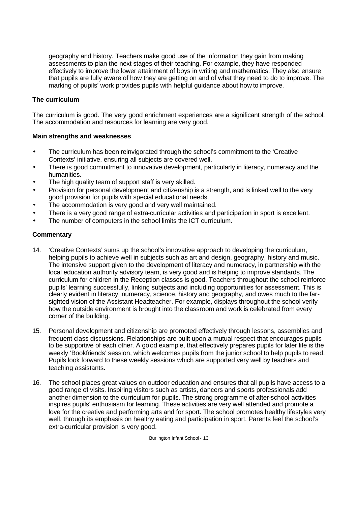geography and history. Teachers make good use of the information they gain from making assessments to plan the next stages of their teaching. For example, they have responded effectively to improve the lower attainment of boys in writing and mathematics. They also ensure that pupils are fully aware of how they are getting on and of what they need to do to improve. The marking of pupils' work provides pupils with helpful guidance about how to improve.

#### **The curriculum**

The curriculum is good. The very good enrichment experiences are a significant strength of the school. The accommodation and resources for learning are very good.

#### **Main strengths and weaknesses**

- The curriculum has been reinvigorated through the school's commitment to the 'Creative' Contexts' initiative, ensuring all subjects are covered well.
- There is good commitment to innovative development, particularly in literacy, numeracy and the humanities.
- The high quality team of support staff is very skilled.
- Provision for personal development and citizenship is a strength, and is linked well to the very good provision for pupils with special educational needs.
- The accommodation is very good and very well maintained.
- There is a very good range of extra-curricular activities and participation in sport is excellent.
- The number of computers in the school limits the ICT curriculum.

## **Commentary**

- 14. *'*Creative Contexts' sums up the school's innovative approach to developing the curriculum, helping pupils to achieve well in subjects such as art and design, geography, history and music. The intensive support given to the development of literacy and numeracy, in partnership with the local education authority advisory team, is very good and is helping to improve standards. The curriculum for children in the Reception classes is good. Teachers throughout the school reinforce pupils' learning successfully, linking subjects and including opportunities for assessment. This is clearly evident in literacy, numeracy, science, history and geography, and owes much to the farsighted vision of the Assistant Headteacher. For example, displays throughout the school verify how the outside environment is brought into the classroom and work is celebrated from every corner of the building.
- 15. Personal development and citizenship are promoted effectively through lessons, assemblies and frequent class discussions. Relationships are built upon a mutual respect that encourages pupils to be supportive of each other. A good example, that effectively prepares pupils for later life is the weekly 'Bookfriends' session, which welcomes pupils from the junior school to help pupils to read. Pupils look forward to these weekly sessions which are supported very well by teachers and teaching assistants.
- 16. The school places great values on outdoor education and ensures that all pupils have access to a good range of visits. Inspiring visitors such as artists, dancers and sports professionals add another dimension to the curriculum for pupils. The strong programme of after-school activities inspires pupils' enthusiasm for learning. These activities are very well attended and promote a love for the creative and performing arts and for sport. The school promotes healthy lifestyles very well, through its emphasis on healthy eating and participation in sport. Parents feel the school's extra-curricular provision is very good.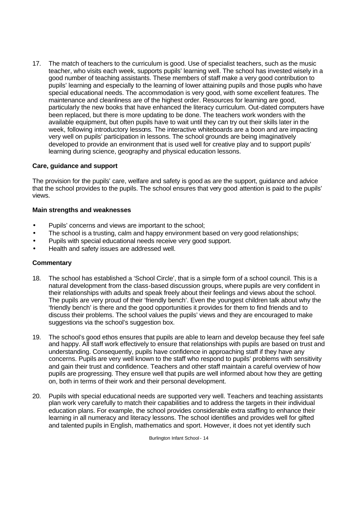17. The match of teachers to the curriculum is good. Use of specialist teachers, such as the music teacher, who visits each week, supports pupils' learning well. The school has invested wisely in a good number of teaching assistants. These members of staff make a very good contribution to pupils' learning and especially to the learning of lower attaining pupils and those pupils who have special educational needs. The accommodation is very good, with some excellent features. The maintenance and cleanliness are of the highest order. Resources for learning are good, particularly the new books that have enhanced the literacy curriculum. Out-dated computers have been replaced, but there is more updating to be done. The teachers work wonders with the available equipment, but often pupils have to wait until they can try out their skills later in the week, following introductory lessons. The interactive whiteboards are a boon and are impacting very well on pupils' participation in lessons. The school grounds are being imaginatively developed to provide an environment that is used well for creative play and to support pupils' learning during science, geography and physical education lessons.

#### **Care, guidance and support**

The provision for the pupils' care, welfare and safety is good as are the support, guidance and advice that the school provides to the pupils. The school ensures that very good attention is paid to the pupils' views.

#### **Main strengths and weaknesses**

- Pupils' concerns and views are important to the school;
- The school is a trusting, calm and happy environment based on very good relationships;
- Pupils with special educational needs receive very good support.
- Health and safety issues are addressed well.

#### **Commentary**

- 18. The school has established a 'School Circle', that is a simple form of a school council. This is a natural development from the class-based discussion groups, where pupils are very confident in their relationships with adults and speak freely about their feelings and views about the school. The pupils are very proud of their 'friendly bench'. Even the youngest children talk about why the 'friendly bench' is there and the good opportunities it provides for them to find friends and to discuss their problems. The school values the pupils' views and they are encouraged to make suggestions via the school's suggestion box.
- 19. The school's good ethos ensures that pupils are able to learn and develop because they feel safe and happy. All staff work effectively to ensure that relationships with pupils are based on trust and understanding. Consequently, pupils have confidence in approaching staff if they have any concerns. Pupils are very well known to the staff who respond to pupils' problems with sensitivity and gain their trust and confidence. Teachers and other staff maintain a careful overview of how pupils are progressing. They ensure well that pupils are well informed about how they are getting on, both in terms of their work and their personal development.
- 20. Pupils with special educational needs are supported very well. Teachers and teaching assistants plan work very carefully to match their capabilities and to address the targets in their individual education plans. For example, the school provides considerable extra staffing to enhance their learning in all numeracy and literacy lessons. The school identifies and provides well for gifted and talented pupils in English, mathematics and sport. However, it does not yet identify such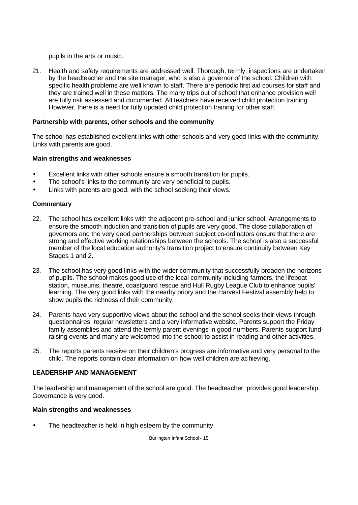pupils in the arts or music.

21. Health and safety requirements are addressed well. Thorough, termly, inspections are undertaken by the headteacher and the site manager, who is also a governor of the school. Children with specific health problems are well known to staff. There are periodic first aid courses for staff and they are trained well in these matters. The many trips out of school that enhance provision well are fully risk assessed and documented. All teachers have received child protection training. However, there is a need for fully updated child protection training for other staff.

#### **Partnership with parents, other schools and the community**

The school has established excellent links with other schools and very good links with the community. Links with parents are good.

## **Main strengths and weaknesses**

- Excellent links with other schools ensure a smooth transition for pupils.
- The school's links to the community are very beneficial to pupils.
- Links with parents are good, with the school seeking their views.

#### **Commentary**

- 22. The school has excellent links with the adjacent pre-school and junior school. Arrangements to ensure the smooth induction and transition of pupils are very good. The close collaboration of governors and the very good partnerships between subject co-ordinators ensure that there are strong and effective working relationships between the schools. The school is also a successful member of the local education authority's transition project to ensure continuity between Key Stages 1 and 2.
- 23. The school has very good links with the wider community that successfully broaden the horizons of pupils. The school makes good use of the local community including farmers, the lifeboat station, museums, theatre, coastguard rescue and Hull Rugby League Club to enhance pupils' learning. The very good links with the nearby priory and the Harvest Festival assembly help to show pupils the richness of their community.
- 24. Parents have very supportive views about the school and the school seeks their views through questionnaires, regular newsletters and a very informative website. Parents support the Friday family assemblies and attend the termly parent evenings in good numbers. Parents support fundraising events and many are welcomed into the school to assist in reading and other activities.
- 25. The reports parents receive on their children's progress are informative and very personal to the child. The reports contain clear information on how well children are achieving.

#### **LEADERSHIP AND MANAGEMENT**

The leadership and management of the school are good. The headteacher provides good leadership. Governance is very good.

#### **Main strengths and weaknesses**

The headteacher is held in high esteem by the community.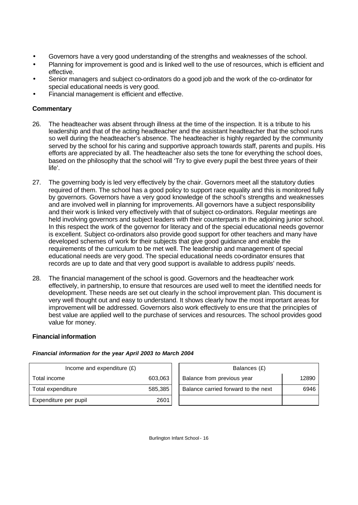- Governors have a very good understanding of the strengths and weaknesses of the school.
- Planning for improvement is good and is linked well to the use of resources, which is efficient and effective.
- Senior managers and subject co-ordinators do a good job and the work of the co-ordinator for special educational needs is very good.
- Financial management is efficient and effective.

# **Commentary**

- 26. The headteacher was absent through illness at the time of the inspection. It is a tribute to his leadership and that of the acting headteacher and the assistant headteacher that the school runs so well during the headteacher's absence. The headteacher is highly regarded by the community served by the school for his caring and supportive approach towards staff, parents and pupils. His efforts are appreciated by all. The headteacher also sets the tone for everything the school does, based on the philosophy that the school will 'Try to give every pupil the best three years of their life'.
- 27. The governing body is led very effectively by the chair. Governors meet all the statutory duties required of them. The school has a good policy to support race equality and this is monitored fully by governors. Governors have a very good knowledge of the school's strengths and weaknesses and are involved well in planning for improvements. All governors have a subject responsibility and their work is linked very effectively with that of subject co-ordinators. Regular meetings are held involving governors and subject leaders with their counterparts in the adjoining junior school. In this respect the work of the governor for literacy and of the special educational needs governor is excellent. Subject co-ordinators also provide good support for other teachers and many have developed schemes of work for their subjects that give good guidance and enable the requirements of the curriculum to be met well. The leadership and management of special educational needs are very good. The special educational needs co-ordinator ensures that records are up to date and that very good support is available to address pupils' needs.
- 28. The financial management of the school is good. Governors and the headteacher work effectively, in partnership, to ensure that resources are used well to meet the identified needs for development. These needs are set out clearly in the school improvement plan. This document is very well thought out and easy to understand. It shows clearly how the most important areas for improvement will be addressed. Governors also work effectively to ensure that the principles of best value are applied well to the purchase of services and resources. The school provides good value for money.

#### **Financial information**

#### *Financial information for the year April 2003 to March 2004*

| Income and expenditure $(E)$ |         | Balances (£)                        |       |
|------------------------------|---------|-------------------------------------|-------|
| Total income                 | 603,063 | Balance from previous year          | 12890 |
| Total expenditure            | 585,385 | Balance carried forward to the next | 6946  |
| Expenditure per pupil        | 2601    |                                     |       |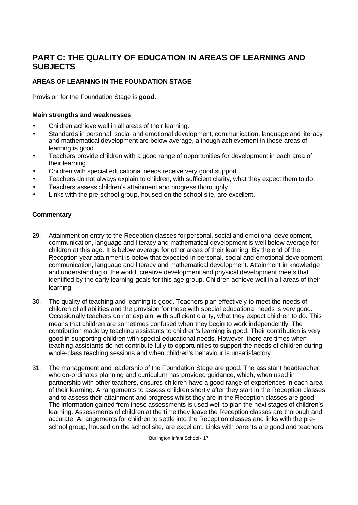# **PART C: THE QUALITY OF EDUCATION IN AREAS OF LEARNING AND SUBJECTS**

# **AREAS OF LEARNING IN THE FOUNDATION STAGE**

Provision for the Foundation Stage is **good**.

### **Main strengths and weaknesses**

- Children achieve well in all areas of their learning.
- Standards in personal, social and emotional development, communication, language and literacy and mathematical development are below average, although achievement in these areas of learning is good.
- Teachers provide children with a good range of opportunities for development in each area of their learning.
- Children with special educational needs receive very good support.
- Teachers do not always explain to children, with sufficient clarity, what they expect them to do.
- Teachers assess children's attainment and progress thoroughly.
- Links with the pre-school group, housed on the school site, are excellent.

# **Commentary**

- 29. Attainment on entry to the Reception classes for personal, social and emotional development, communication, language and literacy and mathematical development is well below average for children at this age. It is below average for other areas of their learning. By the end of the Reception year attainment is below that expected in personal, social and emotional development, communication, language and literacy and mathematical development. Attainment in knowledge and understanding of the world, creative development and physical development meets that identified by the early learning goals for this age group. Children achieve well in all areas of their learning.
- 30. The quality of teaching and learning is good. Teachers plan effectively to meet the needs of children of all abilities and the provision for those with special educational needs is very good. Occasionally teachers do not explain, with sufficient clarity, what they expect children to do. This means that children are sometimes confused when they begin to work independently. The contribution made by teaching assistants to children's learning is good. Their contribution is very good in supporting children with special educational needs. However, there are times when teaching assistants do not contribute fully to opportunities to support the needs of children during whole-class teaching sessions and when children's behaviour is unsatisfactory.
- 31. The management and leadership of the Foundation Stage are good. The assistant headteacher who co-ordinates planning and curriculum has provided guidance, which, when used in partnership with other teachers, ensures children have a good range of experiences in each area of their learning. Arrangements to assess children shortly after they start in the Reception classes and to assess their attainment and progress whilst they are in the Reception classes are good. The information gained from these assessments is used well to plan the next stages of children's learning. Assessments of children at the time they leave the Reception classes are thorough and accurate. Arrangements for children to settle into the Reception classes and links with the preschool group, housed on the school site, are excellent. Links with parents are good and teachers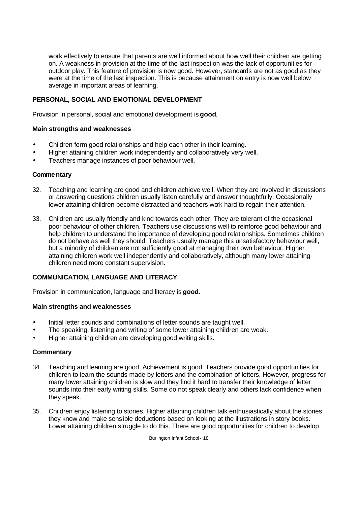work effectively to ensure that parents are well informed about how well their children are getting on. A weakness in provision at the time of the last inspection was the lack of opportunities for outdoor play. This feature of provision is now good. However, standards are not as good as they were at the time of the last inspection. This is because attainment on entry is now well below average in important areas of learning.

## **PERSONAL, SOCIAL AND EMOTIONAL DEVELOPMENT**

Provision in personal, social and emotional development is **good**.

#### **Main strengths and weaknesses**

- Children form good relationships and help each other in their learning.
- Higher attaining children work independently and collaboratively very well.
- Teachers manage instances of poor behaviour well.

#### **Commentary**

- 32. Teaching and learning are good and children achieve well. When they are involved in discussions or answering questions children usually listen carefully and answer thoughtfully. Occasionally lower attaining children become distracted and teachers work hard to regain their attention.
- 33. Children are usually friendly and kind towards each other. They are tolerant of the occasional poor behaviour of other children. Teachers use discussions well to reinforce good behaviour and help children to understand the importance of developing good relationships. Sometimes children do not behave as well they should. Teachers usually manage this unsatisfactory behaviour well, but a minority of children are not sufficiently good at managing their own behaviour. Higher attaining children work well independently and collaboratively, although many lower attaining children need more constant supervision.

#### **COMMUNICATION, LANGUAGE AND LITERACY**

Provision in communication, language and literacy is **good**.

#### **Main strengths and weaknesses**

- Initial letter sounds and combinations of letter sounds are taught well.
- The speaking, listening and writing of some lower attaining children are weak.
- Higher attaining children are developing good writing skills.

#### **Commentary**

- 34. Teaching and learning are good. Achievement is good. Teachers provide good opportunities for children to learn the sounds made by letters and the combination of letters. However, progress for many lower attaining children is slow and they find it hard to transfer their knowledge of letter sounds into their early writing skills. Some do not speak clearly and others lack confidence when they speak.
- 35. Children enjoy listening to stories. Higher attaining children talk enthusiastically about the stories they know and make sensible deductions based on looking at the illustrations in story books. Lower attaining children struggle to do this. There are good opportunities for children to develop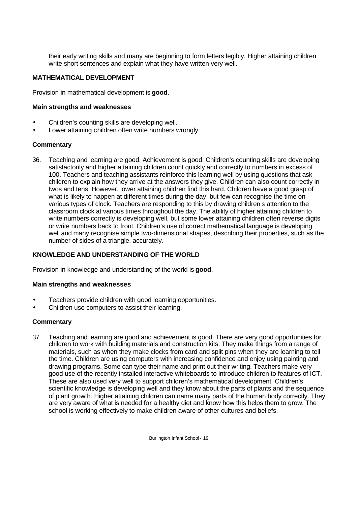their early writing skills and many are beginning to form letters legibly. Higher attaining children write short sentences and explain what they have written very well.

## **MATHEMATICAL DEVELOPMENT**

Provision in mathematical development is **good**.

#### **Main strengths and weaknesses**

- Children's counting skills are developing well.
- Lower attaining children often write numbers wrongly.

#### **Commentary**

36. Teaching and learning are good. Achievement is good. Children's counting skills are developing satisfactorily and higher attaining children count quickly and correctly to numbers in excess of 100. Teachers and teaching assistants reinforce this learning well by using questions that ask children to explain how they arrive at the answers they give. Children can also count correctly in twos and tens. However, lower attaining children find this hard. Children have a good grasp of what is likely to happen at different times during the day, but few can recognise the time on various types of clock. Teachers are responding to this by drawing children's attention to the classroom clock at various times throughout the day. The ability of higher attaining children to write numbers correctly is developing well, but some lower attaining children often reverse digits or write numbers back to front. Children's use of correct mathematical language is developing well and many recognise simple two-dimensional shapes, describing their properties, such as the number of sides of a triangle, accurately.

#### **KNOWLEDGE AND UNDERSTANDING OF THE WORLD**

Provision in knowledge and understanding of the world is **good**.

#### **Main strengths and weaknesses**

- Teachers provide children with good learning opportunities.
- Children use computers to assist their learning.

#### **Commentary**

37. Teaching and learning are good and achievement is good. There are very good opportunities for children to work with building materials and construction kits. They make things from a range of materials, such as when they make clocks from card and split pins when they are learning to tell the time. Children are using computers with increasing confidence and enjoy using painting and drawing programs. Some can type their name and print out their writing. Teachers make very good use of the recently installed interactive whiteboards to introduce children to features of ICT. These are also used very well to support children's mathematical development. Children's scientific knowledge is developing well and they know about the parts of plants and the sequence of plant growth. Higher attaining children can name many parts of the human body correctly. They are very aware of what is needed for a healthy diet and know how this helps them to grow. The school is working effectively to make children aware of other cultures and beliefs.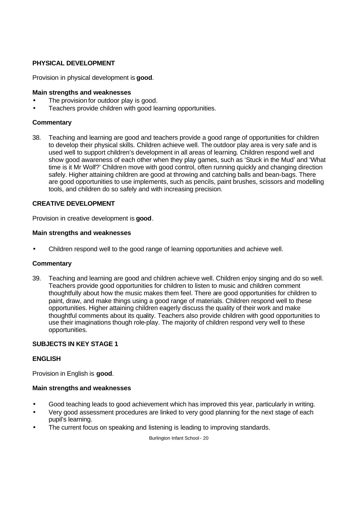## **PHYSICAL DEVELOPMENT**

Provision in physical development is **good**.

#### **Main strengths and weaknesses**

- The provision for outdoor play is good.
- Teachers provide children with good learning opportunities.

#### **Commentary**

38. Teaching and learning are good and teachers provide a good range of opportunities for children to develop their physical skills. Children achieve well. The outdoor play area is very safe and is used well to support children's development in all areas of learning. Children respond well and show good awareness of each other when they play games, such as 'Stuck in the Mud' and 'What time is it Mr Wolf?' Children move with good control, often running quickly and changing direction safely. Higher attaining children are good at throwing and catching balls and bean-bags. There are good opportunities to use implements, such as pencils, paint brushes, scissors and modelling tools, and children do so safely and with increasing precision.

#### **CREATIVE DEVELOPMENT**

Provision in creative development is **good**.

#### **Main strengths and weaknesses**

• Children respond well to the good range of learning opportunities and achieve well.

#### **Commentary**

39. Teaching and learning are good and children achieve well. Children enjoy singing and do so well. Teachers provide good opportunities for children to listen to music and children comment thoughtfully about how the music makes them feel. There are good opportunities for children to paint, draw, and make things using a good range of materials. Children respond well to these opportunities. Higher attaining children eagerly discuss the quality of their work and make thoughtful comments about its quality. Teachers also provide children with good opportunities to use their imaginations though role-play. The majority of children respond very well to these opportunities.

#### **SUBJECTS IN KEY STAGE 1**

#### **ENGLISH**

Provision in English is **good**.

#### **Main strengths and weaknesses**

- Good teaching leads to good achievement which has improved this year, particularly in writing.
- Very good assessment procedures are linked to very good planning for the next stage of each pupil's learning.
- The current focus on speaking and listening is leading to improving standards.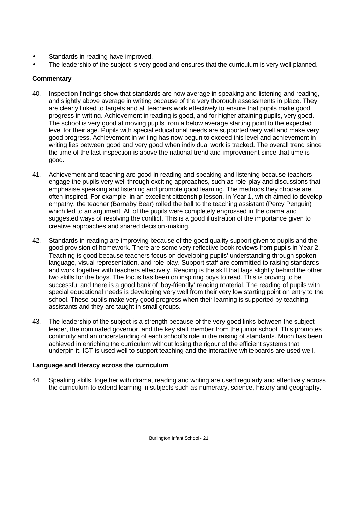- Standards in reading have improved.
- The leadership of the subject is very good and ensures that the curriculum is very well planned.

# **Commentary**

- 40. Inspection findings show that standards are now average in speaking and listening and reading, and slightly above average in writing because of the very thorough assessments in place. They are clearly linked to targets and all teachers work effectively to ensure that pupils make good progress in writing. Achievement in reading is good, and for higher attaining pupils, very good. The school is very good at moving pupils from a below average starting point to the expected level for their age. Pupils with special educational needs are supported very well and make very good progress. Achievement in writing has now begun to exceed this level and achievement in writing lies between good and very good when individual work is tracked. The overall trend since the time of the last inspection is above the national trend and improvement since that time is good.
- 41. Achievement and teaching are good in reading and speaking and listening because teachers engage the pupils very well through exciting approaches, such as role-play and discussions that emphasise speaking and listening and promote good learning. The methods they choose are often inspired. For example, in an excellent citizenship lesson, in Year 1, which aimed to develop empathy, the teacher (Barnaby Bear) rolled the ball to the teaching assistant (Percy Penguin) which led to an argument. All of the pupils were completely engrossed in the drama and suggested ways of resolving the conflict. This is a good illustration of the importance given to creative approaches and shared decision-making.
- 42. Standards in reading are improving because of the good quality support given to pupils and the good provision of homework. There are some very reflective book reviews from pupils in Year 2. Teaching is good because teachers focus on developing pupils' understanding through spoken language, visual representation, and role-play. Support staff are committed to raising standards and work together with teachers effectively. Reading is the skill that lags slightly behind the other two skills for the boys. The focus has been on inspiring boys to read. This is proving to be successful and there is a good bank of 'boy-friendly' reading material. The reading of pupils with special educational needs is developing very well from their very low starting point on entry to the school. These pupils make very good progress when their learning is supported by teaching assistants and they are taught in small groups.
- 43. The leadership of the subject is a strength because of the very good links between the subject leader, the nominated governor, and the key staff member from the junior school. This promotes continuity and an understanding of each school's role in the raising of standards. Much has been achieved in enriching the curriculum without losing the rigour of the efficient systems that underpin it. ICT is used well to support teaching and the interactive whiteboards are used well.

# **Language and literacy across the curriculum**

44. Speaking skills, together with drama, reading and writing are used regularly and effectively across the curriculum to extend learning in subjects such as numeracy, science, history and geography.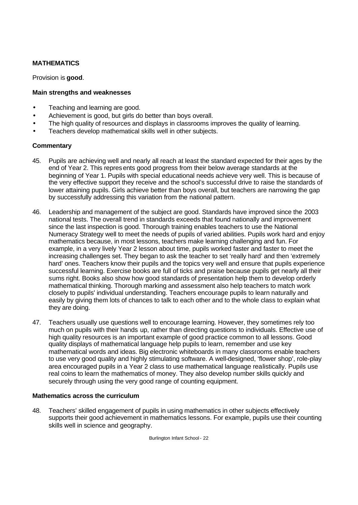# **MATHEMATICS**

Provision is **good**.

#### **Main strengths and weaknesses**

- Teaching and learning are good.
- Achievement is good, but girls do better than boys overall.
- The high quality of resources and displays in classrooms improves the quality of learning.
- Teachers develop mathematical skills well in other subjects.

## **Commentary**

- 45. Pupils are achieving well and nearly all reach at least the standard expected for their ages by the end of Year 2. This represents good progress from their below average standards at the beginning of Year 1. Pupils with special educational needs achieve very well. This is because of the very effective support they receive and the school's successful drive to raise the standards of lower attaining pupils. Girls achieve better than boys overall, but teachers are narrowing the gap by successfully addressing this variation from the national pattern.
- 46. Leadership and management of the subject are good. Standards have improved since the 2003 national tests. The overall trend in standards exceeds that found nationally and improvement since the last inspection is good. Thorough training enables teachers to use the National Numeracy Strategy well to meet the needs of pupils of varied abilities. Pupils work hard and enjoy mathematics because, in most lessons, teachers make learning challenging and fun. For example, in a very lively Year 2 lesson about time, pupils worked faster and faster to meet the increasing challenges set. They began to ask the teacher to set 'really hard' and then 'extremely hard' ones. Teachers know their pupils and the topics very well and ensure that pupils experience successful learning. Exercise books are full of ticks and praise because pupils get nearly all their sums right. Books also show how good standards of presentation help them to develop orderly mathematical thinking. Thorough marking and assessment also help teachers to match work closely to pupils' individual understanding. Teachers encourage pupils to learn naturally and easily by giving them lots of chances to talk to each other and to the whole class to explain what they are doing.
- 47. Teachers usually use questions well to encourage learning. However, they sometimes rely too much on pupils with their hands up, rather than directing questions to individuals. Effective use of high quality resources is an important example of good practice common to all lessons. Good quality displays of mathematical language help pupils to learn, remember and use key mathematical words and ideas. Big electronic whiteboards in many classrooms enable teachers to use very good quality and highly stimulating software. A well-designed, 'flower shop', role-play area encouraged pupils in a Year 2 class to use mathematical language realistically. Pupils use real coins to learn the mathematics of money. They also develop number skills quickly and securely through using the very good range of counting equipment.

#### **Mathematics across the curriculum**

48. Teachers' skilled engagement of pupils in using mathematics in other subjects effectively supports their good achievement in mathematics lessons. For example, pupils use their counting skills well in science and geography.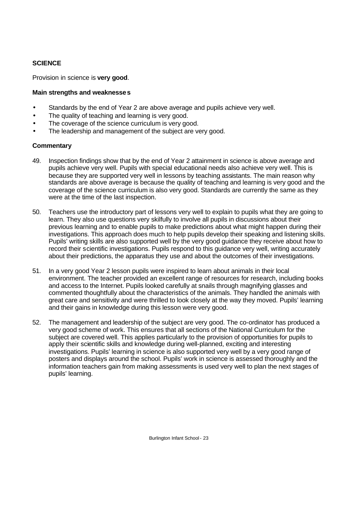# **SCIENCE**

Provision in science is **very good**.

### **Main strengths and weaknesses**

- Standards by the end of Year 2 are above average and pupils achieve very well.
- The quality of teaching and learning is very good.
- The coverage of the science curriculum is very good.
- The leadership and management of the subject are very good.

## **Commentary**

- 49. Inspection findings show that by the end of Year 2 attainment in science is above average and pupils achieve very well. Pupils with special educational needs also achieve very well. This is because they are supported very well in lessons by teaching assistants. The main reason why standards are above average is because the quality of teaching and learning is very good and the coverage of the science curriculum is also very good. Standards are currently the same as they were at the time of the last inspection.
- 50. Teachers use the introductory part of lessons very well to explain to pupils what they are going to learn. They also use questions very skilfully to involve all pupils in discussions about their previous learning and to enable pupils to make predictions about what might happen during their investigations. This approach does much to help pupils develop their speaking and listening skills. Pupils' writing skills are also supported well by the very good guidance they receive about how to record their scientific investigations. Pupils respond to this guidance very well, writing accurately about their predictions, the apparatus they use and about the outcomes of their investigations.
- 51. In a very good Year 2 lesson pupils were inspired to learn about animals in their local environment. The teacher provided an excellent range of resources for research, including books and access to the Internet. Pupils looked carefully at snails through magnifying glasses and commented thoughtfully about the characteristics of the animals. They handled the animals with great care and sensitivity and were thrilled to look closely at the way they moved. Pupils' learning and their gains in knowledge during this lesson were very good.
- 52. The management and leadership of the subject are very good. The co-ordinator has produced a very good scheme of work. This ensures that all sections of the National Curriculum for the subject are covered well. This applies particularly to the provision of opportunities for pupils to apply their scientific skills and knowledge during well-planned, exciting and interesting investigations. Pupils' learning in science is also supported very well by a very good range of posters and displays around the school. Pupils' work in science is assessed thoroughly and the information teachers gain from making assessments is used very well to plan the next stages of pupils' learning.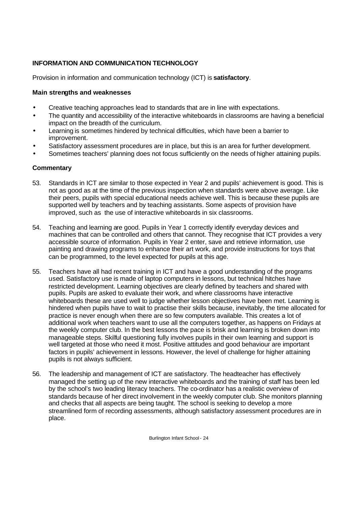# **INFORMATION AND COMMUNICATION TECHNOLOGY**

Provision in information and communication technology (ICT) is **satisfactory**.

### **Main strengths and weaknesses**

- Creative teaching approaches lead to standards that are in line with expectations.
- The quantity and accessibility of the interactive whiteboards in classrooms are having a beneficial impact on the breadth of the curriculum.
- Learning is sometimes hindered by technical difficulties, which have been a barrier to improvement.
- Satisfactory assessment procedures are in place, but this is an area for further development.
- Sometimes teachers' planning does not focus sufficiently on the needs of higher attaining pupils.

#### **Commentary**

- 53. Standards in ICT are similar to those expected in Year 2 and pupils' achievement is good. This is not as good as at the time of the previous inspection when standards were above average. Like their peers, pupils with special educational needs achieve well. This is because these pupils are supported well by teachers and by teaching assistants. Some aspects of provision have improved, such as the use of interactive whiteboards in six classrooms.
- 54. Teaching and learning are good. Pupils in Year 1 correctly identify everyday devices and machines that can be controlled and others that cannot. They recognise that ICT provides a very accessible source of information. Pupils in Year 2 enter, save and retrieve information, use painting and drawing programs to enhance their art work, and provide instructions for toys that can be programmed, to the level expected for pupils at this age.
- 55. Teachers have all had recent training in ICT and have a good understanding of the programs used. Satisfactory use is made of laptop computers in lessons, but technical hitches have restricted development. Learning objectives are clearly defined by teachers and shared with pupils. Pupils are asked to evaluate their work, and where classrooms have interactive whiteboards these are used well to judge whether lesson objectives have been met. Learning is hindered when pupils have to wait to practise their skills because, inevitably, the time allocated for practice is never enough when there are so few computers available. This creates a lot of additional work when teachers want to use all the computers together, as happens on Fridays at the weekly computer club. In the best lessons the pace is brisk and learning is broken down into manageable steps. Skilful questioning fully involves pupils in their own learning and support is well targeted at those who need it most. Positive attitudes and good behaviour are important factors in pupils' achievement in lessons. However, the level of challenge for higher attaining pupils is not always sufficient.
- 56. The leadership and management of ICT are satisfactory. The headteacher has effectively managed the setting up of the new interactive whiteboards and the training of staff has been led by the school's two leading literacy teachers. The co-ordinator has a realistic overview of standards because of her direct involvement in the weekly computer club. She monitors planning and checks that all aspects are being taught. The school is seeking to develop a more streamlined form of recording assessments, although satisfactory assessment procedures are in place.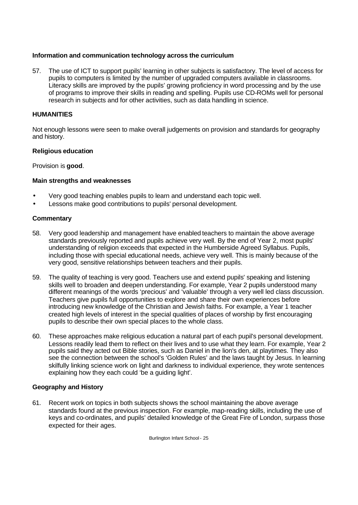#### **Information and communication technology across the curriculum**

57. The use of ICT to support pupils' learning in other subjects is satisfactory. The level of access for pupils to computers is limited by the number of upgraded computers available in classrooms. Literacy skills are improved by the pupils' growing proficiency in word processing and by the use of programs to improve their skills in reading and spelling. Pupils use CD-ROMs well for personal research in subjects and for other activities, such as data handling in science.

## **HUMANITIES**

Not enough lessons were seen to make overall judgements on provision and standards for geography and history.

## **Religious education**

Provision is **good**.

## **Main strengths and weaknesses**

- Very good teaching enables pupils to learn and understand each topic well.
- Lessons make good contributions to pupils' personal development.

## **Commentary**

- 58. Very good leadership and management have enabled teachers to maintain the above average standards previously reported and pupils achieve very well. By the end of Year 2, most pupils' understanding of religion exceeds that expected in the Humberside Agreed Syllabus. Pupils, including those with special educational needs, achieve very well. This is mainly because of the very good, sensitive relationships between teachers and their pupils.
- 59. The quality of teaching is very good. Teachers use and extend pupils' speaking and listening skills well to broaden and deepen understanding. For example, Year 2 pupils understood many different meanings of the words 'precious' and 'valuable' through a very well led class discussion. Teachers give pupils full opportunities to explore and share their own experiences before introducing new knowledge of the Christian and Jewish faiths. For example, a Year 1 teacher created high levels of interest in the special qualities of places of worship by first encouraging pupils to describe their own special places to the whole class.
- 60. These approaches make religious education a natural part of each pupil's personal development. Lessons readily lead them to reflect on their lives and to use what they learn. For example, Year 2 pupils said they acted out Bible stories, such as Daniel in the lion's den, at playtimes. They also see the connection between the school's 'Golden Rules' and the laws taught by Jesus. In learning skilfully linking science work on light and darkness to individual experience, they wrote sentences explaining how they each could 'be a guiding light'.

# **Geography and History**

61. Recent work on topics in both subjects shows the school maintaining the above average standards found at the previous inspection. For example, map-reading skills, including the use of keys and co-ordinates, and pupils' detailed knowledge of the Great Fire of London, surpass those expected for their ages.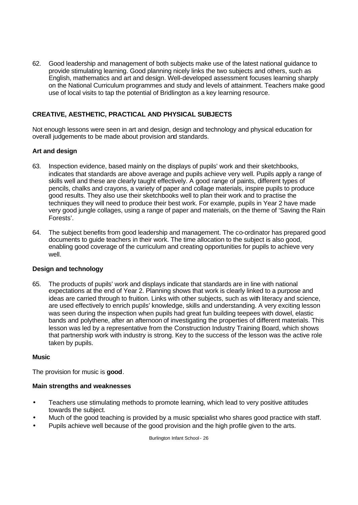62. Good leadership and management of both subjects make use of the latest national guidance to provide stimulating learning. Good planning nicely links the two subjects and others, such as English, mathematics and art and design. Well-developed assessment focuses learning sharply on the National Curriculum programmes and study and levels of attainment. Teachers make good use of local visits to tap the potential of Bridlington as a key learning resource.

# **CREATIVE, AESTHETIC, PRACTICAL AND PHYSICAL SUBJECTS**

Not enough lessons were seen in art and design, design and technology and physical education for overall judgements to be made about provision and standards.

## **Art and design**

- 63. Inspection evidence, based mainly on the displays of pupils' work and their sketchbooks, indicates that standards are above average and pupils achieve very well. Pupils apply a range of skills well and these are clearly taught effectively. A good range of paints, different types of pencils, chalks and crayons, a variety of paper and collage materials, inspire pupils to produce good results. They also use their sketchbooks well to plan their work and to practise the techniques they will need to produce their best work. For example, pupils in Year 2 have made very good jungle collages, using a range of paper and materials, on the theme of 'Saving the Rain Forests'.
- 64. The subject benefits from good leadership and management. The co-ordinator has prepared good documents to guide teachers in their work. The time allocation to the subject is also good, enabling good coverage of the curriculum and creating opportunities for pupils to achieve very well.

#### **Design and technology**

65. The products of pupils' work and displays indicate that standards are in line with national expectations at the end of Year 2. Planning shows that work is clearly linked to a purpose and ideas are carried through to fruition. Links with other subjects, such as with literacy and science, are used effectively to enrich pupils' knowledge, skills and understanding. A very exciting lesson was seen during the inspection when pupils had great fun building teepees with dowel, elastic bands and polythene, after an afternoon of investigating the properties of different materials. This lesson was led by a representative from the Construction Industry Training Board, which shows that partnership work with industry is strong. Key to the success of the lesson was the active role taken by pupils.

#### **Music**

The provision for music is **good**.

#### **Main strengths and weaknesses**

- Teachers use stimulating methods to promote learning, which lead to very positive attitudes towards the subject.
- Much of the good teaching is provided by a music specialist who shares good practice with staff.
- Pupils achieve well because of the good provision and the high profile given to the arts.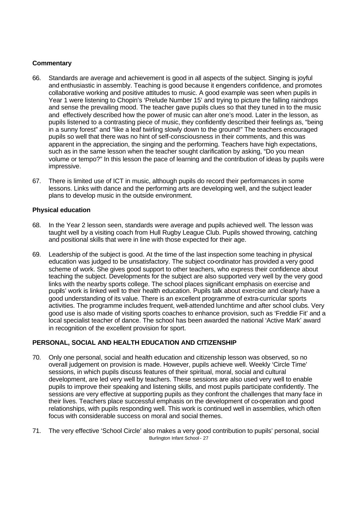#### **Commentary**

- 66. Standards are average and achievement is good in all aspects of the subject. Singing is joyful and enthusiastic in assembly. Teaching is good because it engenders confidence, and promotes collaborative working and positive attitudes to music. A good example was seen when pupils in Year 1 were listening to Chopin's 'Prelude Number 15' and trying to picture the falling raindrops and sense the prevailing mood. The teacher gave pupils clues so that they tuned in to the music and effectively described how the power of music can alter one's mood. Later in the lesson, as pupils listened to a contrasting piece of music, they confidently described their feelings as, "being in a sunny forest" and "like a leaf twirling slowly down to the ground!" The teachers encouraged pupils so well that there was no hint of self-consciousness in their comments, and this was apparent in the appreciation, the singing and the performing. Teachers have high expectations, such as in the same lesson when the teacher sought clarification by asking, "Do you mean volume or tempo?" In this lesson the pace of learning and the contribution of ideas by pupils were impressive.
- 67. There is limited use of ICT in music, although pupils do record their performances in some lessons. Links with dance and the performing arts are developing well, and the subject leader plans to develop music in the outside environment.

#### **Physical education**

- 68. In the Year 2 lesson seen, standards were average and pupils achieved well. The lesson was taught well by a visiting coach from Hull Rugby League Club. Pupils showed throwing, catching and positional skills that were in line with those expected for their age.
- 69. Leadership of the subject is good. At the time of the last inspection some teaching in physical education was judged to be unsatisfactory. The subject co-ordinator has provided a very good scheme of work. She gives good support to other teachers, who express their confidence about teaching the subject. Developments for the subject are also supported very well by the very good links with the nearby sports college. The school places significant emphasis on exercise and pupils' work is linked well to their health education. Pupils talk about exercise and clearly have a good understanding of its value. There is an excellent programme of extra-curricular sports activities. The programme includes frequent, well-attended lunchtime and after school clubs. Very good use is also made of visiting sports coaches to enhance provision, such as 'Freddie Fit' and a local specialist teacher of dance. The school has been awarded the national 'Active Mark' award in recognition of the excellent provision for sport.

#### **PERSONAL, SOCIAL AND HEALTH EDUCATION AND CITIZENSHIP**

- 70. Only one personal, social and health education and citizenship lesson was observed, so no overall judgement on provision is made. However, pupils achieve well. Weekly 'Circle Time' sessions, in which pupils discuss features of their spiritual, moral, social and cultural development, are led very well by teachers. These sessions are also used very well to enable pupils to improve their speaking and listening skills, and most pupils participate confidently. The sessions are very effective at supporting pupils as they confront the challenges that many face in their lives. Teachers place successful emphasis on the development of co-operation and good relationships, with pupils responding well. This work is continued well in assemblies, which often focus with considerable success on moral and social themes.
- Burlington Infant School 27 71. The very effective 'School Circle' also makes a very good contribution to pupils' personal, social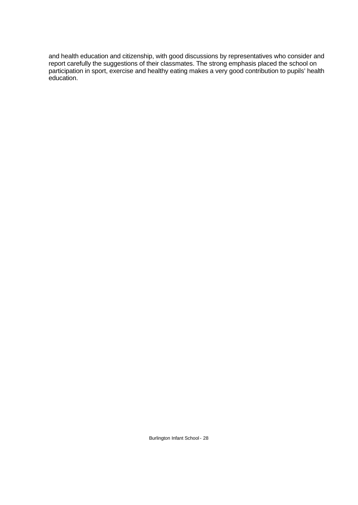and health education and citizenship, with good discussions by representatives who consider and report carefully the suggestions of their classmates. The strong emphasis placed the school on participation in sport, exercise and healthy eating makes a very good contribution to pupils' health education.